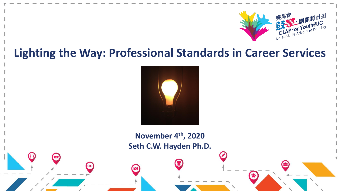

#### **Lighting the Way: Professional Standards in Career Services**



**November 4th, 2020 Seth C.W. Hayden Ph.D.**

 $\left( \cdot \right)$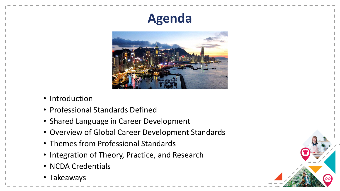# **Agenda**



- Introduction
- Professional Standards Defined
- Shared Language in Career Development
- Overview of Global Career Development Standards
- Themes from Professional Standards
- Integration of Theory, Practice, and Research
- NCDA Credentials
- Takeaways

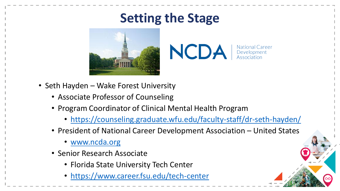# **Setting the Stage**



NCDA | National Car **National Career** 

- Seth Hayden Wake Forest University
	- Associate Professor of Counseling
	- Program Coordinator of Clinical Mental Health Program
		- <https://counseling.graduate.wfu.edu/faculty-staff/dr-seth-hayden/>
	- President of National Career Development Association United States
		- [www.ncda.org](http://www.ncda.org/)
	- Senior Research Associate
		- Florida State University Tech Center
		- <https://www.career.fsu.edu/tech-center>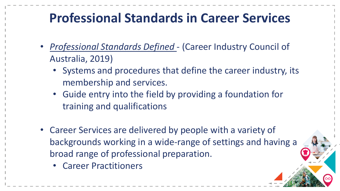# **Professional Standards in Career Services**

- *Professional Standards Defined*  (Career Industry Council of Australia, 2019)
	- Systems and procedures that define the career industry, its membership and services.
	- Guide entry into the field by providing a foundation for training and qualifications
- Career Services are delivered by people with a variety of backgrounds working in a wide-range of settings and having a broad range of professional preparation.
	- Career Practitioners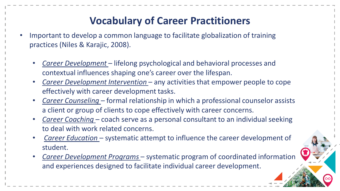#### **Vocabulary of Career Practitioners**

- Important to develop a common language to facilitate globalization of training practices (Niles & Karajic, 2008).
	- *Career Development*  lifelong psychological and behavioral processes and contextual influences shaping one's career over the lifespan.
	- *Career Development Intervention*  any activities that empower people to cope effectively with career development tasks.
	- *Career Counseling –* formal relationship in which a professional counselor assists a client or group of clients to cope effectively with career concerns.
	- *Career Coaching* coach serve as a personal consultant to an individual seeking to deal with work related concerns.
	- *Career Education* systematic attempt to influence the career development of student.
	- *Career Development Programs* systematic program of coordinated information and experiences designed to facilitate individual career development.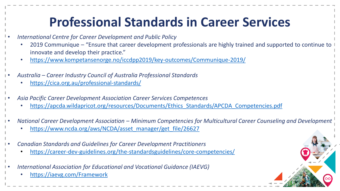# **Professional Standards in Career Services**

- *International Centre for Career Development and Public Policy*
	- 2019 Communique "Ensure that career development professionals are highly trained and supported to continue to innovate and develop their practice."
	- <https://www.kompetansenorge.no/iccdpp2019/key-outcomes/Communique-2019/>
- *Australia – Career Industry Council of Australia Professional Standards*
	- <https://cica.org.au/professional-standards/>
- *Asia Pacific Career Development Association Career Services Competences*
	- [https://apcda.wildapricot.org/resources/Documents/Ethics\\_Standards/APCDA\\_Competencies.pdf](https://apcda.wildapricot.org/resources/Documents/Ethics_Standards/APCDA_Competencies.pdf)
- *National Career Development Association – Minimum Competencies for Multicultural Career Counseling and Development*
	- [https://www.ncda.org/aws/NCDA/asset\\_manager/get\\_file/26627](https://www.ncda.org/aws/NCDA/asset_manager/get_file/26627)
- *Canadian Standards and Guidelines for Career Development Practitioners*
	- <https://career-dev-guidelines.org/the-standardsguidelines/core-competencies/>
- *International Association for Educational and Vocational Guidance (IAEVG)*
	- <https://iaevg.com/Framework>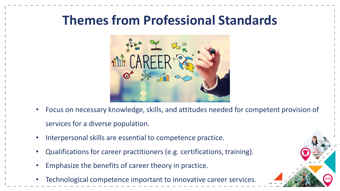## **Themes from Professional Standards**



- Focus on necessary knowledge, skills, and attitudes needed for competent provision of services for a diverse population.
- Interpersonal skills are essential to competence practice.
- Qualifications for career practitioners (e.g. certifications, training).
- Emphasize the benefits of career theory in practice.
- Technological competence important to innovative career services.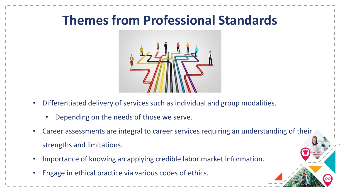## **Themes from Professional Standards**



- Differentiated delivery of services such as individual and group modalities.
	- Depending on the needs of those we serve.
- Career assessments are integral to career services requiring an understanding of their strengths and limitations.
- Importance of knowing an applying credible labor market information.
- Engage in ethical practice via various codes of ethics.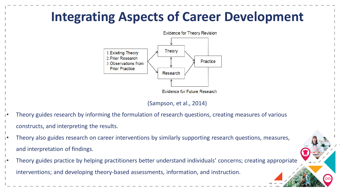# **Integrating Aspects of Career Development Evidence for Theory Revision**



(Sampson, et al., 2014)

- Theory guides research by informing the formulation of research questions, creating measures of various constructs, and interpreting the results.
- Theory also guides research on career interventions by similarly supporting research questions, measures, and interpretation of findings.
- Theory guides practice by helping practitioners better understand individuals' concerns; creating appropriate interventions; and developing theory-based assessments, information, and instruction.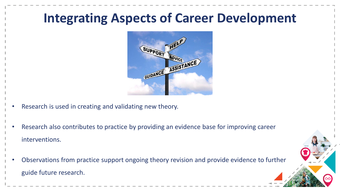## **Integrating Aspects of Career Development**



- Research is used in creating and validating new theory.
- Research also contributes to practice by providing an evidence base for improving career interventions.
- Observations from practice support ongoing theory revision and provide evidence to further guide future research.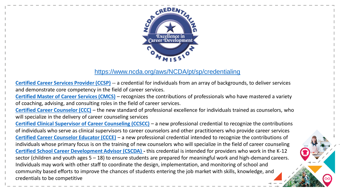

#### <https://www.ncda.org/aws/NCDA/pt/sp/credentialing>

**[Certified Career Services Provider \(CCSP\)](https://www.ncda.org/aws/NCDA/pt/sp/credentials_ccsp)** -- a credential for individuals from an array of backgrounds, to deliver services and demonstrate core competency in the field of career services.

**[Certified Master of Career Services \(CMCS\)](https://www.ncda.org/aws/NCDA/pt/sp/credentials_cmcs)** – recognizes the contributions of professionals who have mastered a variety of coaching, advising, and consulting roles in the field of career services.

**[Certified Career Counselor \(CCC\)](https://www.ncda.org/aws/NCDA/pt/sp/credentials_ccc)** – the new standard of professional excellence for individuals trained as counselors, who will specialize in the delivery of career counseling services

**[Certified Clinical Supervisor of Career Counseling \(CCSCC\)](https://www.ncda.org/aws/NCDA/pt/sp/credentials_ccscc)** – a new professional credential to recognize the contributions of individuals who serve as clinical supervisors to career counselors and other practitioners who provide career services **[Certified Career Counselor Educator \(CCCE\)](https://www.ncda.org/aws/NCDA/pt/sp/credentials_ccce)** – a new professional credential intended to recognize the contributions of individuals whose primary focus is on the training of new counselors who will specialize in the field of career counseling **[Certified School Career Development Advisor \(CSCDA\)](https://www.ncda.org/aws/NCDA/pt/sp/credentials_cscda) -** this credential is intended for providers who work in the K-12 sector (children and youth ages 5 – 18) to ensure students are prepared for meaningful work and high-demand careers. Individuals may work with other staff to coordinate the design, implementation, and monitoring of school and community based efforts to improve the chances of students entering the job market with skills, knowledge, and credentials to be competitive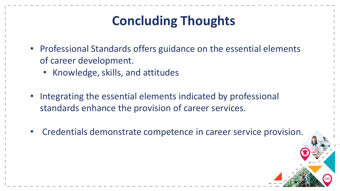# **Concluding Thoughts**

- Professional Standards offers guidance on the essential elements of career development.
	- Knowledge, skills, and attitudes
- Integrating the essential elements indicated by professional standards enhance the provision of career services.
- Credentials demonstrate competence in career service provision.